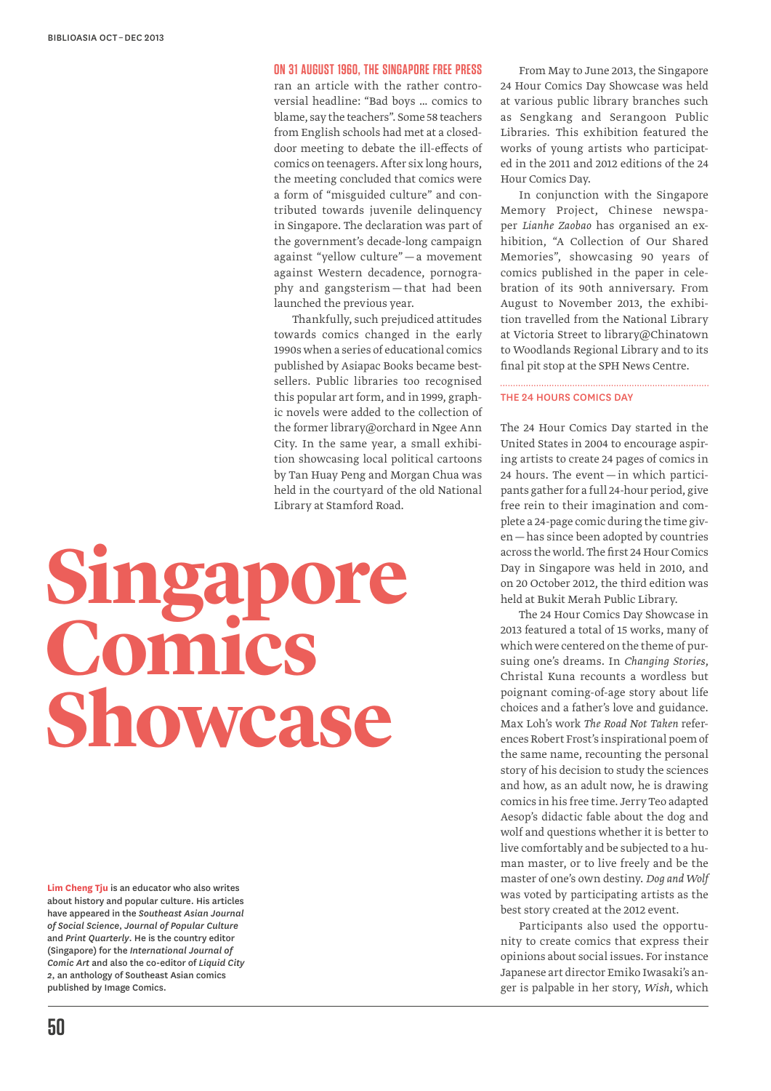# **On 31 August 1960, The Singapore Free Press**

ran an article with the rather controversial headline: "Bad boys … comics to blame, say the teachers". Some 58 teachers from English schools had met at a closeddoor meeting to debate the ill-effects of comics on teenagers. After six long hours, the meeting concluded that comics were a form of "misguided culture" and contributed towards juvenile delinquency in Singapore. The declaration was part of the government's decade-long campaign against "yellow culture" — a movement against Western decadence, pornography and gangsterism — that had been launched the previous year.

Thankfully, such prejudiced attitudes towards comics changed in the early 1990s when a series of educational comics published by Asiapac Books became bestsellers. Public libraries too recognised this popular art form, and in 1999, graphic novels were added to the collection of the former library@orchard in Ngee Ann City. In the same year, a small exhibition showcasing local political cartoons by Tan Huay Peng and Morgan Chua was held in the courtyard of the old National Library at Stamford Road.

# **Singapore Comics Showcase**

**Lim Cheng Tju** is an educator who also writes about history and popular culture. His articles have appeared in the *Southeast Asian Journal of Social Science*, *Journal of Popular Culture* and *Print Quarterly*. He is the country editor (Singapore) for the *International Journal of Comic Art* and also the co-editor of *Liquid City 2*, an anthology of Southeast Asian comics published by Image Comics.

From May to June 2013, the Singapore 24 Hour Comics Day Showcase was held at various public library branches such as Sengkang and Serangoon Public Libraries. This exhibition featured the works of young artists who participated in the 2011 and 2012 editions of the 24 Hour Comics Day.

In conjunction with the Singapore Memory Project, Chinese newspaper *Lianhe Zaobao* has organised an exhibition, "A Collection of Our Shared Memories", showcasing 90 years of comics published in the paper in celebration of its 90th anniversary. From August to November 2013, the exhibition travelled from the National Library at Victoria Street to library@Chinatown to Woodlands Regional Library and to its final pit stop at the SPH News Centre.

# The 24 Hours Comics Day

The 24 Hour Comics Day started in the United States in 2004 to encourage aspiring artists to create 24 pages of comics in 24 hours. The event — in which participants gather for a full 24-hour period, give free rein to their imagination and complete a 24-page comic during the time given—has since been adopted by countries across the world. The first 24 Hour Comics Day in Singapore was held in 2010, and on 20 October 2012, the third edition was held at Bukit Merah Public Library.

The 24 Hour Comics Day Showcase in 2013 featured a total of 15 works, many of which were centered on the theme of pursuing one's dreams. In *Changing Stories*, Christal Kuna recounts a wordless but poignant coming-of-age story about life choices and a father's love and guidance. Max Loh's work *The Road Not Taken* references Robert Frost's inspirational poem of the same name, recounting the personal story of his decision to study the sciences and how, as an adult now, he is drawing comics in his free time. Jerry Teo adapted Aesop's didactic fable about the dog and wolf and questions whether it is better to live comfortably and be subjected to a human master, or to live freely and be the master of one's own destiny. *Dog and Wolf* was voted by participating artists as the best story created at the 2012 event.

Participants also used the opportunity to create comics that express their opinions about social issues. For instance Japanese art director Emiko Iwasaki's anger is palpable in her story, *Wish*, which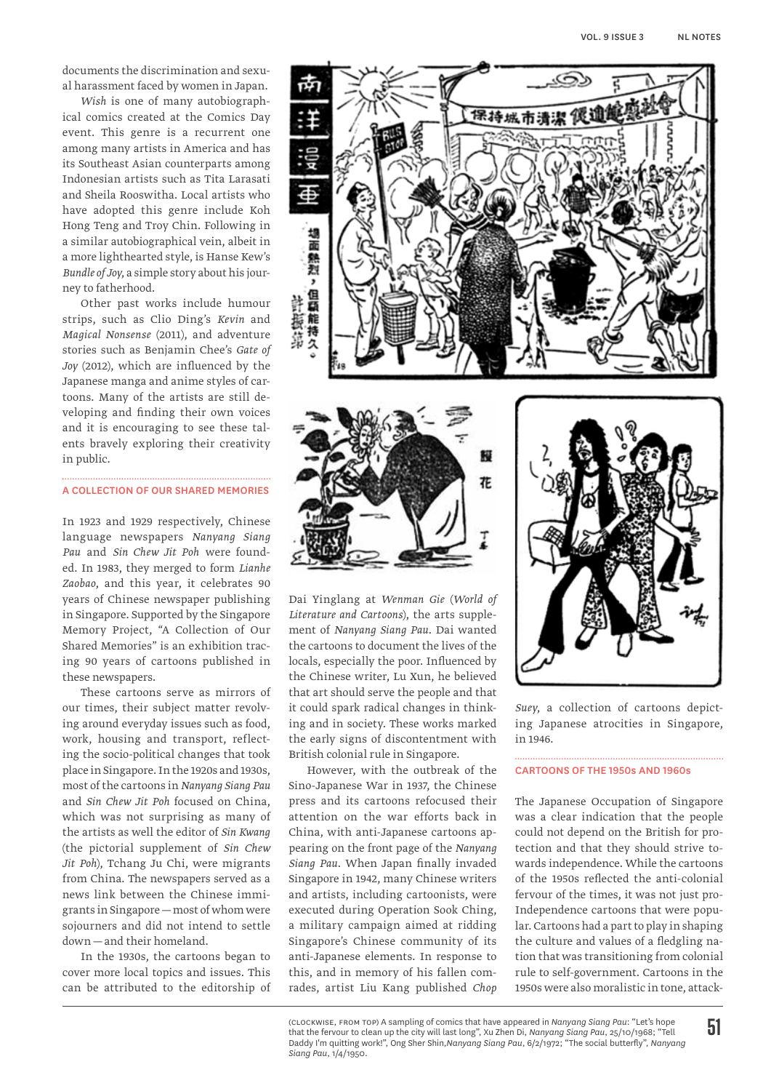documents the discrimination and sexual harassment faced by women in Japan.

*Wish* is one of many autobiographical comics created at the Comics Day event. This genre is a recurrent one among many artists in America and has its Southeast Asian counterparts among Indonesian artists such as Tita Larasati and Sheila Rooswitha. Local artists who have adopted this genre include Koh Hong Teng and Troy Chin. Following in a similar autobiographical vein, albeit in a more lighthearted style, is Hanse Kew's *Bundle of Joy*, a simple story about his journey to fatherhood.

Other past works include humour strips, such as Clio Ding's *Kevin* and *Magical Nonsense* (2011), and adventure stories such as Benjamin Chee's *Gate of Joy* (2012), which are influenced by the Japanese manga and anime styles of cartoons. Many of the artists are still developing and finding their own voices and it is encouraging to see these talents bravely exploring their creativity in public.

#### A Collection of Our Shared Memories

In 1923 and 1929 respectively, Chinese language newspapers *Nanyang Siang Pau* and *Sin Chew Jit Poh* were founded. In 1983, they merged to form *Lianhe Zaobao*, and this year, it celebrates 90 years of Chinese newspaper publishing in Singapore. Supported by the Singapore Memory Project, "A Collection of Our Shared Memories" is an exhibition tracing 90 years of cartoons published in these newspapers.

These cartoons serve as mirrors of our times, their subject matter revolving around everyday issues such as food, work, housing and transport, reflecting the socio-political changes that took place in Singapore. In the 1920s and 1930s, most of the cartoons in *Nanyang Siang Pau* and *Sin Chew Jit Poh* focused on China, which was not surprising as many of the artists as well the editor of *Sin Kwang*  (the pictorial supplement of *Sin Chew Jit Poh*), Tchang Ju Chi, were migrants from China. The newspapers served as a news link between the Chinese immigrants in Singapore —most of whom were sojourners and did not intend to settle down —and their homeland.

In the 1930s, the cartoons began to cover more local topics and issues. This can be attributed to the editorship of





Dai Yinglang at *Wenman Gie* (*World of Literature and Cartoons*), the arts supplement of *Nanyang Siang Pau*. Dai wanted the cartoons to document the lives of the locals, especially the poor. Influenced by the Chinese writer, Lu Xun, he believed that art should serve the people and that it could spark radical changes in thinking and in society. These works marked the early signs of discontentment with British colonial rule in Singapore.

However, with the outbreak of the Sino-Japanese War in 1937, the Chinese press and its cartoons refocused their attention on the war efforts back in China, with anti-Japanese cartoons appearing on the front page of the *Nanyang Siang Pau*. When Japan finally invaded Singapore in 1942, many Chinese writers and artists, including cartoonists, were executed during Operation Sook Ching, a military campaign aimed at ridding Singapore's Chinese community of its anti-Japanese elements. In response to this, and in memory of his fallen comrades, artist Liu Kang published *Chop* 



*Suey*, a collection of cartoons depicting Japanese atrocities in Singapore, in 1946.

#### Cartoons of the 1950s and 1960s

The Japanese Occupation of Singapore was a clear indication that the people could not depend on the British for protection and that they should strive towards independence. While the cartoons of the 1950s reflected the anti-colonial fervour of the times, it was not just pro-Independence cartoons that were popular. Cartoons had a part to play in shaping the culture and values of a fledgling nation that was transitioning from colonial rule to self-government. Cartoons in the 1950s were also moralistic in tone, attack-

(clockwise, from top) A sampling of comics that have appeared in *Nanyang Siang Pau*: "Let's hope that the fervour to clean up the city will last long", Xu Zhen Di, *Nanyang Siang Pau*, 25/10/1968; "Tell Daddy I'm quitting work!", Ong Sher Shin,*Nanyang Siang Pau*, 6/2/1972; "The social butterfly", *Nanyang Siang Pau*, 1/4/1950.